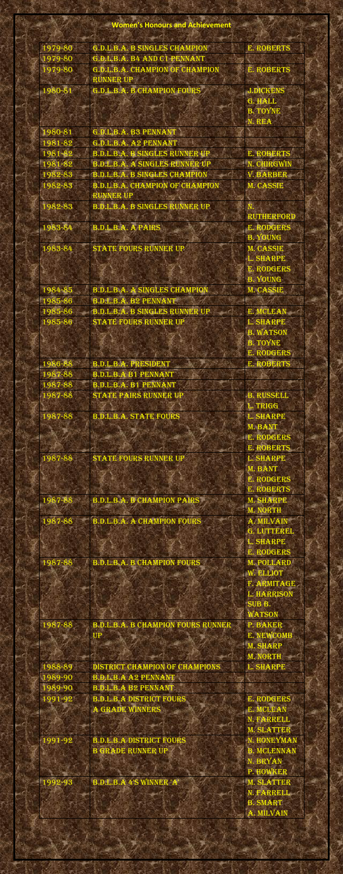## **Women's Honours and Achievement**

55

| 1979-80 | G.D.L.B.A. B SINGLES CHAMPION             | E. ROBERTS         |  |
|---------|-------------------------------------------|--------------------|--|
| 1979-80 | G.D.L.B.A. B4 AND C1 PENNANT              |                    |  |
| 1979-80 | G.D.L.B.A. CHAMPION OF CHAMPION           | <b>E. ROBERTS</b>  |  |
|         | <b>RUNNER UP</b>                          |                    |  |
|         |                                           |                    |  |
| 1980-81 | G.D.L.B.A. B CHAMPION FOURS               | <b>J.DICKENS</b>   |  |
|         |                                           | G. HALL            |  |
|         |                                           | <b>B. TOYNE</b>    |  |
|         |                                           | N. REA             |  |
| 1980-81 | G.D.L.B.A. B3 PENNANT                     |                    |  |
| 1981-82 | G.D.L.B.A. A2 PENNANT                     |                    |  |
| 1981-82 | <b>B.D.L.B.A. B SINGLES RUNNER UP</b>     | <b>E. ROBERTS</b>  |  |
|         |                                           |                    |  |
| 1981-82 | <b>B.D.L.B.A. A SINGLES RUNNER UP</b>     | N. CHIRGWIN        |  |
| 1982-83 | <b>B.D.L.B.A. B SINGLES CHAMPION</b>      | <b>V. BARBER</b>   |  |
| 1982-83 | <b>B.D.L.B.A. CHAMPION OF CHAMPION</b>    | <b>M. CASSIE</b>   |  |
|         | <b>RUNNER UP</b>                          |                    |  |
| 1982-83 | <b>B.D.L.B.A. B SINGLES RUNNER UP</b>     |                    |  |
|         |                                           | <b>RUTHERFORD</b>  |  |
| 1983-84 | <b>B.D.L.B.A. A PAIRS</b>                 | <b>E. RODGERS</b>  |  |
|         |                                           |                    |  |
|         |                                           | <b>B. YOUNG</b>    |  |
| 1983-84 | <b>STATE FOURS RUNNER UP</b>              | <b>M. CASSIE</b>   |  |
|         |                                           | <b>L. SHARPE</b>   |  |
|         |                                           | <b>E. RODGERS</b>  |  |
|         |                                           | <b>B. YOUNG</b>    |  |
| 1984-85 | <b>B.D.L.B.A. A SINGLES CHAMPION</b>      | M. CASSIE          |  |
| 1985-86 | <b>B.D.L.B.A. B2 PENNANT</b>              |                    |  |
|         |                                           |                    |  |
| 1985-86 | <b>B.D.L.B.A. B SINGLES RUNNER UP</b>     | E. MCLEAN          |  |
| 1985-86 | <b>STATE FOURS RUNNER UP</b>              | L. SHARPE          |  |
|         |                                           | <b>B. WATSON</b>   |  |
|         |                                           | <b>B. TOYNE</b>    |  |
|         |                                           | <b>E. RODGERS</b>  |  |
| 1986-88 | <b>B.D.L.B.A. PRESIDENT</b>               | <b>E. ROBERTS</b>  |  |
|         |                                           |                    |  |
| 1987-88 | <b>B.D.L.B.A B1 PENNANT</b>               |                    |  |
| 1987-88 | <b>B.D.L.B.A. B1 PENNANT</b>              |                    |  |
| 1987-88 | STATE PAIRS RUNNER UP                     | <b>B. RUSSELL</b>  |  |
|         |                                           | L. TRIGG           |  |
| 1987-88 | <b>B.D.L.B.A. STATE FOURS</b>             | <b>L. SHARPE</b>   |  |
|         |                                           | M. BANT            |  |
|         |                                           | <b>E. RODGERS</b>  |  |
|         |                                           | E. ROBERTS         |  |
|         |                                           |                    |  |
| 1987-88 | <b>STATE FOURS RUNNER UP</b>              | L. SHARPE          |  |
|         |                                           | M. BANT            |  |
|         |                                           | <b>E. RODGERS</b>  |  |
|         |                                           | <b>E. ROBERTS</b>  |  |
| 1987-88 | <b>B.D.L.B.A. B CHAMPION PAIRS</b>        | <b>M. SHARPE</b>   |  |
|         |                                           | <b>M. NORTH</b>    |  |
| 1987-88 | <b>B.D.L.B.A. A CHAMPION FOURS</b>        | A. MILVAIN         |  |
|         |                                           |                    |  |
|         |                                           | G. LUTTEREL        |  |
|         |                                           | L. SHARPE          |  |
|         |                                           | <b>E. RODGERS</b>  |  |
| 1987-88 | <b>B.D.L.B.A. B CHAMPION FOURS</b>        | <b>M. POLLARD</b>  |  |
|         |                                           | W. ELLIOT          |  |
|         |                                           | F. ARMITAGE        |  |
|         |                                           | <b>L. HARRISON</b> |  |
|         |                                           | SUB <sub>B</sub> . |  |
|         |                                           | <b>WATSON</b>      |  |
|         |                                           |                    |  |
| 1987-88 | <b>B.D.L.B.A. B CHAMPION FOURS RUNNER</b> | P. BAKER           |  |
|         | UP                                        | <b>E. NEWCOMB</b>  |  |
|         |                                           | <b>M. SHARP</b>    |  |
|         |                                           | <b>M. NORTH</b>    |  |
| 1988-89 | DISTRICT CHAMPION OF CHAMPIONS            | L. SHARPE          |  |
| 1989-90 | <b>B.D.L.B.A A2 PENNANT</b>               |                    |  |
| 1989-90 | <b>B.D.L.B.A B2 PENNANT</b>               |                    |  |
| 1991-92 | <b>B.D.L.B.A DISTRICT FOURS</b>           | <b>E. RODGERS</b>  |  |
|         |                                           |                    |  |
|         | A GRADE WINNERS                           | E. MCLEAN          |  |
|         |                                           | N. FARRELL         |  |
|         |                                           | <b>M. SLATTER</b>  |  |
| 1991-92 | <b>B.D.L.B.A DISTRICT FOURS</b>           | N. HONEYMAN        |  |
|         | <b>B GRADE RUNNER UP</b>                  | <b>B. MCLENNAN</b> |  |
|         |                                           | N. BRYAN           |  |
|         |                                           | P. HOWKER          |  |
| 1992-93 | <b>B.D.L.B.A 4'S WINNER 'A'</b>           | <b>M. SLATTER</b>  |  |
|         |                                           |                    |  |
|         |                                           | N. FARRELL         |  |
|         |                                           | <b>B. SMART</b>    |  |
|         |                                           | A. MILVAIN         |  |
|         |                                           |                    |  |
|         |                                           |                    |  |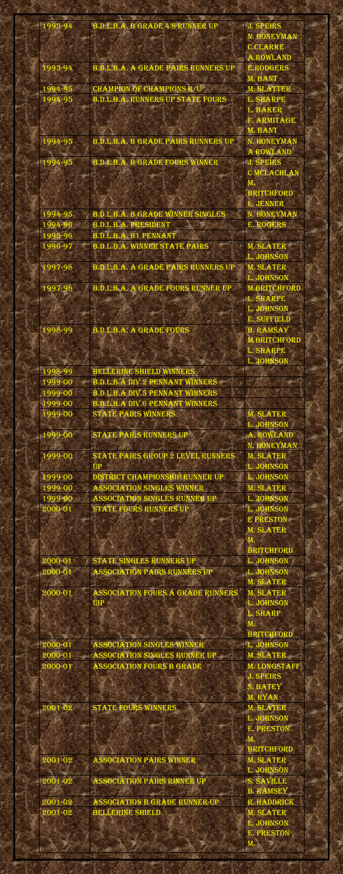| 1993-94 | <b>B.D.L.B.A. B GRADE 4'S RUNNER UP</b>    | <b>J. SPEIRS</b>    |
|---------|--------------------------------------------|---------------------|
|         |                                            | N. HONEYMAN         |
|         |                                            | <b>C.CLARKE</b>     |
|         |                                            | <b>A.ROWLAND</b>    |
| 1993-94 | <b>B.D.L.B.A. A GRADE PAIRS RUNNERS UP</b> | <b>E.RODGERS</b>    |
|         |                                            |                     |
|         |                                            | M. BANT             |
| 1994-95 | <b>CHAMPION OF CHAMPIONS R/U</b>           | <b>M. SLATTER</b>   |
| 1994-95 | <b>B.D.L.B.A. RUNNERS UP STATE FOURS</b>   | L. SHARPE           |
|         |                                            | L. BAKER            |
|         |                                            | F. ARMITAGE         |
|         |                                            | M. BANT             |
| 1994-95 | <b>B.D.L.B.A. B GRADE PAIRS RUNNERS UP</b> | N. HONEYMAN         |
|         |                                            | A ROWLAND           |
| 1994-95 | <b>B.D.L.B.A. B GRADE FOURS WINNER</b>     | <b>J. SPEIRS</b>    |
|         |                                            | <b>C MCLACHLAN</b>  |
|         |                                            |                     |
|         |                                            | <b>BRITCHFORD</b>   |
|         |                                            | L. JENNER           |
| 1994-95 | <b>B.D.L.B.A. B GRADE WINNER SINGLES</b>   | N. HONEYMAN         |
| 1994-96 | <b>B.D.L.B.A. PRESIDENT</b>                | <b>E. ROGERS</b>    |
| 1995-96 | <b>B.D.L.B.A. B1 PENNANT</b>               |                     |
| 1996-97 | <b>B.D.L.B.A. WINNER STATE PAIRS</b>       | <b>M. SLATER</b>    |
|         |                                            | L. JOHNSON          |
|         |                                            |                     |
| 997-98  | <b>B.D.L.B.A. A GRADE PAIRS RUNNERS UP</b> | <b>M. SLATER</b>    |
|         |                                            | L. JOHNSON          |
| 1997-98 | <b>B.D.L.B.A. A GRADE FOURS RUNNER UP</b>  | <b>M.BRITCHFORD</b> |
|         |                                            | <b>L. SHARPE</b>    |
|         |                                            | <b>L. JOHNSON</b>   |
|         |                                            | <b>E. SUFFIELD</b>  |
| 1998-99 | <b>B.D.L.B.A. A GRADE FOURS</b>            | <b>B. RAMSAY</b>    |
|         |                                            | <b>M.BRITCHFORD</b> |
|         |                                            | L. SHARPE           |
|         |                                            | L. JOHNSON          |
| 1998-99 | <b>BELLERINE SHIELD WINNERS</b>            |                     |
| 1999-00 | <b>B.D.L.B.A DIV.2 PENNANT WINNERS</b>     |                     |
| 1999-00 | <b>B.D.L.B.A DIV.5 PENNANT WINNERS</b>     |                     |
| 1999-00 | <b>B.D.L.B.A DIV.6 PENNANT WINNERS</b>     |                     |
| 1999-00 | <b>STATE PAIRS WINNERS</b>                 | <b>M. SLATER</b>    |
|         |                                            | L. JOHNSON          |
| 1999-00 | STATE PAIRS RUNNERS UP                     | A. ROWLAND          |
|         |                                            | N. HONEYMAN         |
| 1999-00 | STATE PAIRS GROUP 2 LEVEL RUNNERS          | <b>M. SLATER</b>    |
|         | <b>UP</b>                                  | L. JOHNSON          |
|         |                                            | <b>L. JOHNSON</b>   |
| 1999-00 | DISTRICT CHAMPIONSHIP RUNNER UP            |                     |
| 1999-00 | <b>ASSOCIATION SINGLES WINNER</b>          | <b>M. SLATER</b>    |
| 1999-00 | ASSOCIATION SINGLES RUNNER UP              | L. JOHNSON          |

| 2000-01     | <b>STATE FOURS RUNNERS UP</b>            | L. JOHNSON          |
|-------------|------------------------------------------|---------------------|
|             |                                          | <b>E PRESTON</b>    |
|             |                                          | <b>M. SLATER</b>    |
|             |                                          | $\bf{M}$            |
|             |                                          | <b>BRITCHFORD</b>   |
| 2000-01     | STATE SINGLES RUNNERS UP                 | L. JOHNSON          |
| 2000-01     | <b>ASSOCIATION PAIRS RUNNERS UP</b>      | <b>L. JOHNSON</b>   |
|             |                                          | <b>M. SLATER</b>    |
| 2000-01     | <b>ASSOCIATION FOURS A GRADE RUNNERS</b> | <b>M. SLATER</b>    |
|             | <b>UIP</b>                               | L. JOHNSON          |
|             |                                          | <b>L. SHARP</b>     |
|             |                                          | M.                  |
|             |                                          | <b>BRITCHFORD</b>   |
| 2000-01     | <b>ASSOCIATION SINGLES WINNER</b>        | L. JOHNSON          |
| 2000-01     | ASSOCIATION SINGLES RUNNER UP            | <b>M. SLATER</b>    |
| 2000-01     | <b>ASSOCIATION FOURS B GRADE</b>         | <b>M. LONGSTAFF</b> |
|             |                                          | <b>J. SPEIRS</b>    |
|             |                                          | <b>S. BATEY</b>     |
|             |                                          | M. RYAN             |
| $2001 - 02$ | <b>STATE FOURS WINNERS</b>               | <b>M. SLATER</b>    |
|             |                                          | L. JOHNSON          |
|             |                                          | <b>E. PRESTON</b>   |
|             |                                          |                     |
|             |                                          | <b>BRITCHFORD</b>   |
| 2001-02     | <b>ASSOCIATION PAIRS WINNER</b>          | <b>M. SLATER</b>    |
|             |                                          | L. JOHNSON          |
| 2001-02     | <b>ASSOCIATION PAIRS RINNER UP</b>       | S. SAVILLE          |
|             |                                          | <b>B. RAMSEY</b>    |
| 2001-02     | <b>ASSOCIATION B GRADE RUNNER UP</b>     | R. HADDRICK         |
| 2001-02     | <b>BELLERINE SHIELD</b>                  | <b>M. SLATER</b>    |
|             |                                          | L. JOHNSON          |
|             |                                          | <b>E. PRESTON</b>   |
|             |                                          |                     |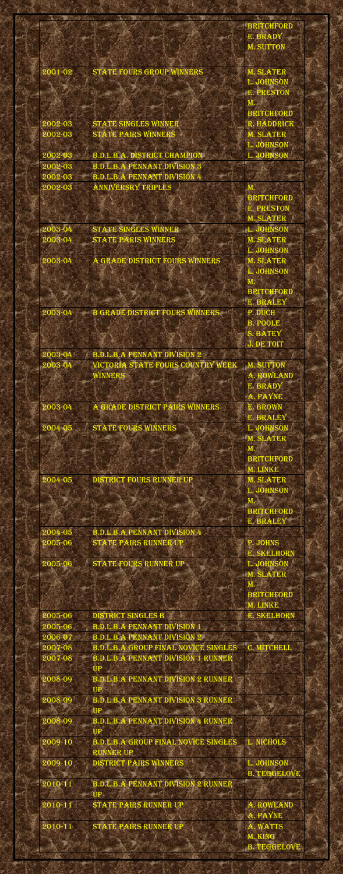|         |                                          | <b>BRITCHFORD</b> |  |
|---------|------------------------------------------|-------------------|--|
|         |                                          | E. BRADY          |  |
|         |                                          | <b>M. SUTTON</b>  |  |
|         |                                          |                   |  |
| 2001-02 | <b>STATE FOURS GROUP WINNERS</b>         | <b>M. SLATER</b>  |  |
|         |                                          | L. JOHNSON        |  |
|         |                                          | <b>E. PRESTON</b> |  |
|         |                                          | M.                |  |
|         |                                          | <b>BRITCHFORD</b> |  |
| 2002-03 | STATE SINGLES WINNER                     | R. HADDRICK       |  |
| 2002-03 | <b>STATE PAIRS WINNERS</b>               | <b>M. SLATER</b>  |  |
|         |                                          | L. JOHNSON        |  |
| 2002-03 |                                          | L. JOHNSON        |  |
|         | <b>B.D.L.B.A. DISTRICT CHAMPION</b>      |                   |  |
| 2002-03 | <b>B.D.L.B.A PENNANT DIVISION 3</b>      |                   |  |
| 2002-03 | <b>B.D.L.B.A PENNANT DIVISION 4</b>      |                   |  |
| 2002-03 | <b>ANNIVERSRY TRIPLES</b>                |                   |  |
|         |                                          | <b>BRITCHFORD</b> |  |
|         |                                          | <b>E. PRESTON</b> |  |
|         |                                          | <b>M. SLATER</b>  |  |
| 2003-04 | <b>STATE SINGLES WINNER</b>              | L. JOHNSON        |  |
| 2003-04 | <b>STATE PARIS WINNERS</b>               | <b>M. SLATER</b>  |  |
|         |                                          | L. JOHNSON        |  |
| 2003-04 | A GRADE DISTRICT FOURS WINNERS           | <b>M. SLATER</b>  |  |
|         |                                          | <u>L. JOHNSON</u> |  |
|         |                                          | M.                |  |
|         |                                          | <b>BRITCHFORD</b> |  |
|         |                                          | E. BRALEY         |  |
| 2003-04 | <b>B GRADE DISTRICT FOURS WINNERS</b>    | P. DUCH           |  |
|         |                                          | <b>B. POOLE</b>   |  |
|         |                                          | <b>S. BATEY</b>   |  |
|         |                                          | <b>J. DE TOIT</b> |  |
| 2003-04 | <b>B.D.L.B.A PENNANT DIVISION 2</b>      |                   |  |
| 2003-04 | <b>VICTORIA STATE FOURS COUNTRY WEEK</b> | <b>M. SUTTON</b>  |  |
|         | WINNERS                                  | A. ROWLAND        |  |
|         |                                          | E. BRADY          |  |
|         |                                          | A. PAYNE          |  |
| 2003-04 | A GRADE DISTRICT PAIRS WINNERS           | E. BROWN          |  |
|         |                                          | E. BRALEY         |  |
| 2004-05 | <b>STATE FOURS WINNERS</b>               | L. JOHNSON        |  |
|         |                                          | <b>M. SLATER</b>  |  |
|         |                                          | M.                |  |
|         |                                          | <b>BRITCHFORD</b> |  |
|         |                                          | M. LINKE          |  |
| 2004-05 | <b>DISTRICT FOURS RUNNER UP</b>          | <b>M. SLATER</b>  |  |
|         |                                          | L. JOHNSON        |  |
|         |                                          |                   |  |

|             |                                                          | <b>BRITCHFORD</b>   |  |
|-------------|----------------------------------------------------------|---------------------|--|
|             |                                                          | E. BRALEY           |  |
| 2004-05     | <b>B.D.L.B.A PENNANT DIVISION 4</b>                      |                     |  |
| 2005-06     | STATE PAIRS RUNNER UP                                    | P. JOHNS            |  |
|             |                                                          | <b>E. SKELHORN</b>  |  |
| 2005-06     | STATE FOURS RUNNER UP                                    | L. JOHNSON          |  |
|             |                                                          | <b>M. SLATER</b>    |  |
|             |                                                          | M.                  |  |
|             |                                                          | <b>BRITCHFORD</b>   |  |
|             |                                                          | M. LINKE            |  |
| 2005-06     | <b>DISTRICT SINGLES B</b>                                | <b>E. SKELHORN</b>  |  |
| 2005-06     | <b>B.D.L.B.A PENNANT DIVISION 1</b>                      |                     |  |
| 2006-07     | <b>B.D.L.B.A PENNANT DIVISION 2</b>                      |                     |  |
| 2007-08     | <b>B.D.L.B.A GROUP FINAL NOVICE SINGLES</b>              | C. MITCHELL         |  |
| 2007-08     | <b>B.D.L.B.A PENNANT DIVISION 1 RUNNER</b>               |                     |  |
|             | UP                                                       |                     |  |
| 2008-09     | <b>B.D.L.B.A PENNANT DIVISION 2 RUNNER</b>               |                     |  |
|             | <b>UP</b>                                                |                     |  |
| 2008-09     | <b>B.D.L.B.A PENNANT DIVISION 3 RUNNER</b>               |                     |  |
|             | UP                                                       |                     |  |
| 2008-09     | <b>B.D.L.B.A PENNANT DIVISION 4 RUNNER</b>               |                     |  |
|             | <b>UP</b>                                                |                     |  |
| 2009-10     | <b>B.D.L.B.A GROUP FINAL NOVICE SINGLES   L. NICHOLS</b> |                     |  |
|             | <b>RUNNER UP</b>                                         |                     |  |
| 2009-10     | DISTRICT PAIRS WINNERS                                   | L. JOHNSON          |  |
|             |                                                          | <b>B. TEGGELOVE</b> |  |
| 2010-11     | <b>B.D.L.B.A PENNANT DIVISION 2 RUNNER</b>               |                     |  |
|             | UP                                                       |                     |  |
| 2010-11     | STATE PAIRS RUNNER UP                                    | A. ROWLAND          |  |
|             |                                                          | A. PAYNE            |  |
| $2010 - 11$ | STATE PAIRS RUNNER UP                                    | A. WATTS            |  |
|             |                                                          | M. KING             |  |
|             |                                                          | <b>B. TEGGELOVE</b> |  |
|             |                                                          |                     |  |